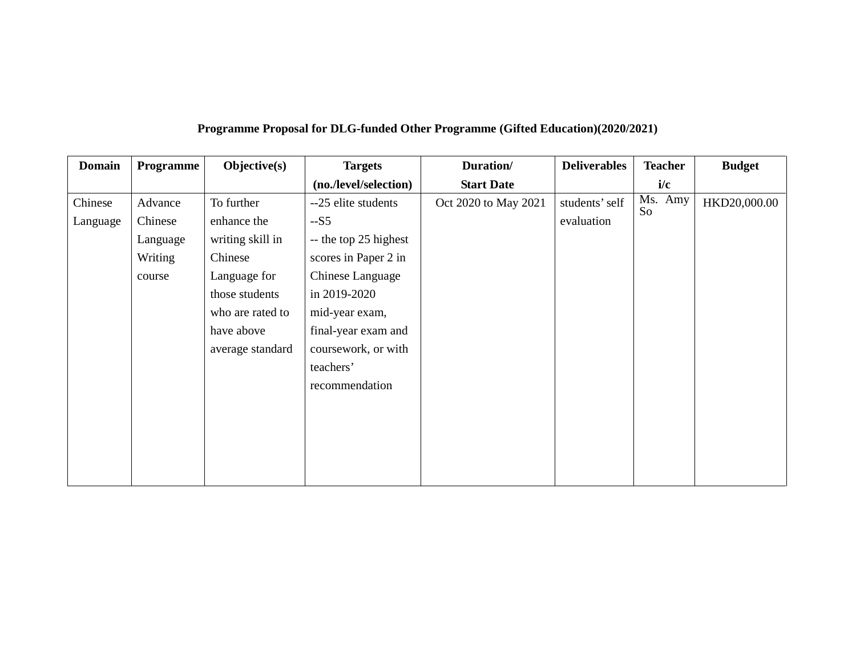| <b>Domain</b> | Programme | Objective(s)     | <b>Targets</b>        | Duration/            | <b>Deliverables</b> | <b>Teacher</b> | <b>Budget</b> |
|---------------|-----------|------------------|-----------------------|----------------------|---------------------|----------------|---------------|
|               |           |                  | (no./level/selection) | <b>Start Date</b>    |                     | i/c            |               |
| Chinese       | Advance   | To further       | --25 elite students   | Oct 2020 to May 2021 | students' self      | Ms. Amy        | HKD20,000.00  |
| Language      | Chinese   | enhance the      | $-S5$                 |                      | evaluation          | So             |               |
|               | Language  | writing skill in | -- the top 25 highest |                      |                     |                |               |
|               | Writing   | Chinese          | scores in Paper 2 in  |                      |                     |                |               |
|               | course    | Language for     | Chinese Language      |                      |                     |                |               |
|               |           | those students   | in 2019-2020          |                      |                     |                |               |
|               |           | who are rated to | mid-year exam,        |                      |                     |                |               |
|               |           | have above       | final-year exam and   |                      |                     |                |               |
|               |           | average standard | coursework, or with   |                      |                     |                |               |
|               |           |                  | teachers'             |                      |                     |                |               |
|               |           |                  | recommendation        |                      |                     |                |               |
|               |           |                  |                       |                      |                     |                |               |
|               |           |                  |                       |                      |                     |                |               |
|               |           |                  |                       |                      |                     |                |               |
|               |           |                  |                       |                      |                     |                |               |
|               |           |                  |                       |                      |                     |                |               |

## **Programme Proposal for DLG-funded Other Programme (Gifted Education)(2020/2021)**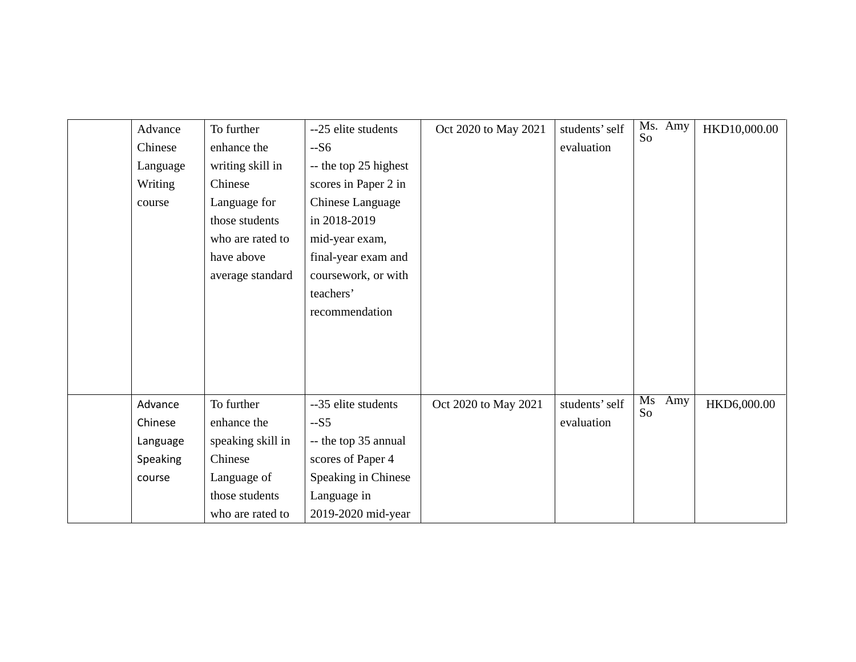| Advance<br>Chinese<br>Language<br>Writing<br>course  | To further<br>enhance the<br>writing skill in<br>Chinese<br>Language for<br>those students<br>who are rated to<br>have above<br>average standard | --25 elite students<br>$-S6$<br>-- the top 25 highest<br>scores in Paper 2 in<br>Chinese Language<br>in 2018-2019<br>mid-year exam,<br>final-year exam and<br>coursework, or with<br>teachers'<br>recommendation | Oct 2020 to May 2021 | students' self<br>evaluation | Ms. Amy<br>So   | HKD10,000.00 |
|------------------------------------------------------|--------------------------------------------------------------------------------------------------------------------------------------------------|------------------------------------------------------------------------------------------------------------------------------------------------------------------------------------------------------------------|----------------------|------------------------------|-----------------|--------------|
| Advance<br>Chinese<br>Language<br>Speaking<br>course | To further<br>enhance the<br>speaking skill in<br>Chinese<br>Language of<br>those students<br>who are rated to                                   | --35 elite students<br>$-S5$<br>-- the top 35 annual<br>scores of Paper 4<br>Speaking in Chinese<br>Language in<br>2019-2020 mid-year                                                                            | Oct 2020 to May 2021 | students' self<br>evaluation | Ms<br>Amy<br>So | HKD6,000.00  |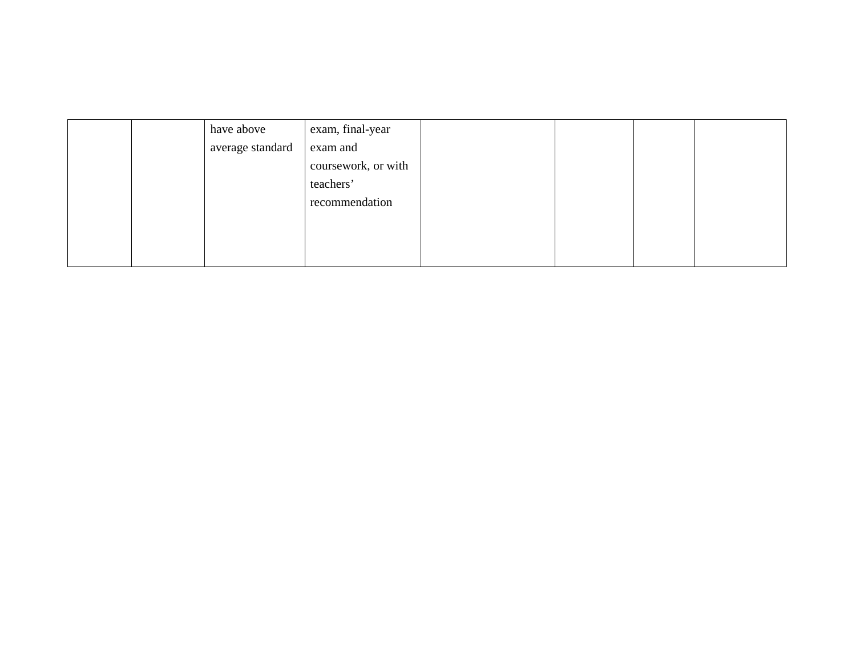|  | have above       | exam, final-year    |  |  |
|--|------------------|---------------------|--|--|
|  | average standard | exam and            |  |  |
|  |                  | coursework, or with |  |  |
|  |                  | teachers'           |  |  |
|  |                  | recommendation      |  |  |
|  |                  |                     |  |  |
|  |                  |                     |  |  |
|  |                  |                     |  |  |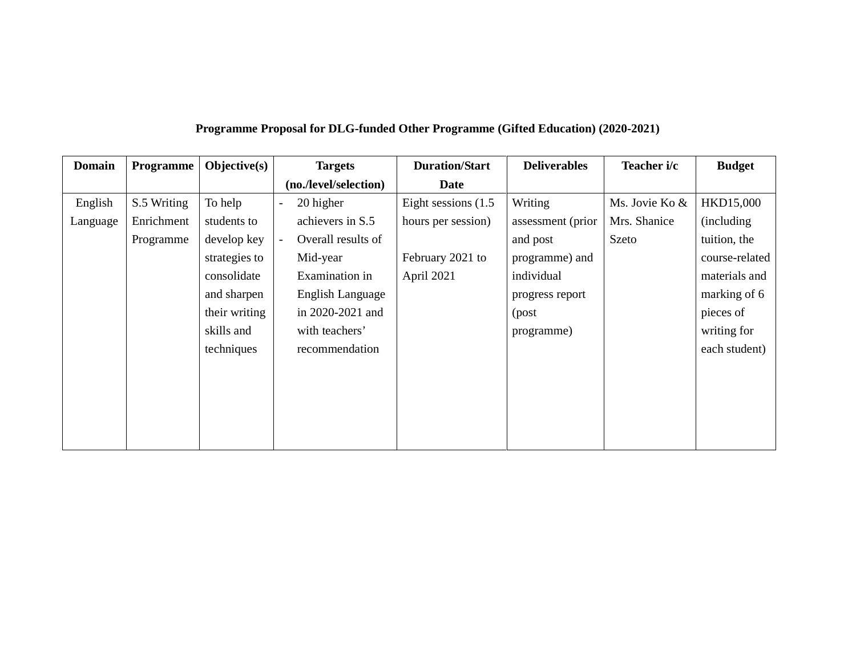|  | Programme Proposal for DLG-funded Other Programme (Gifted Education) (2020-2021) |  |  |
|--|----------------------------------------------------------------------------------|--|--|
|  |                                                                                  |  |  |

| <b>Domain</b> | Programme   | $Objective(s)$ | <b>Targets</b>                       | <b>Duration/Start</b>  | <b>Deliverables</b> | Teacher i/c    | <b>Budget</b>  |
|---------------|-------------|----------------|--------------------------------------|------------------------|---------------------|----------------|----------------|
|               |             |                | (no./level/selection)                | <b>Date</b>            |                     |                |                |
| English       | S.5 Writing | To help        | 20 higher<br>$\blacksquare$          | Eight sessions $(1.5)$ | Writing             | Ms. Jovie Ko & | HKD15,000      |
| Language      | Enrichment  | students to    | achievers in S.5                     | hours per session)     | assessment (prior   | Mrs. Shanice   | (including)    |
|               | Programme   | develop key    | Overall results of<br>$\overline{a}$ |                        | and post            | Szeto          | tuition, the   |
|               |             | strategies to  | Mid-year                             | February 2021 to       | programme) and      |                | course-related |
|               |             | consolidate    | Examination in                       | April 2021             | individual          |                | materials and  |
|               |             | and sharpen    | English Language                     |                        | progress report     |                | marking of 6   |
|               |             | their writing  | in 2020-2021 and                     |                        | (post               |                | pieces of      |
|               |             | skills and     | with teachers'                       |                        | programme)          |                | writing for    |
|               |             | techniques     | recommendation                       |                        |                     |                | each student)  |
|               |             |                |                                      |                        |                     |                |                |
|               |             |                |                                      |                        |                     |                |                |
|               |             |                |                                      |                        |                     |                |                |
|               |             |                |                                      |                        |                     |                |                |
|               |             |                |                                      |                        |                     |                |                |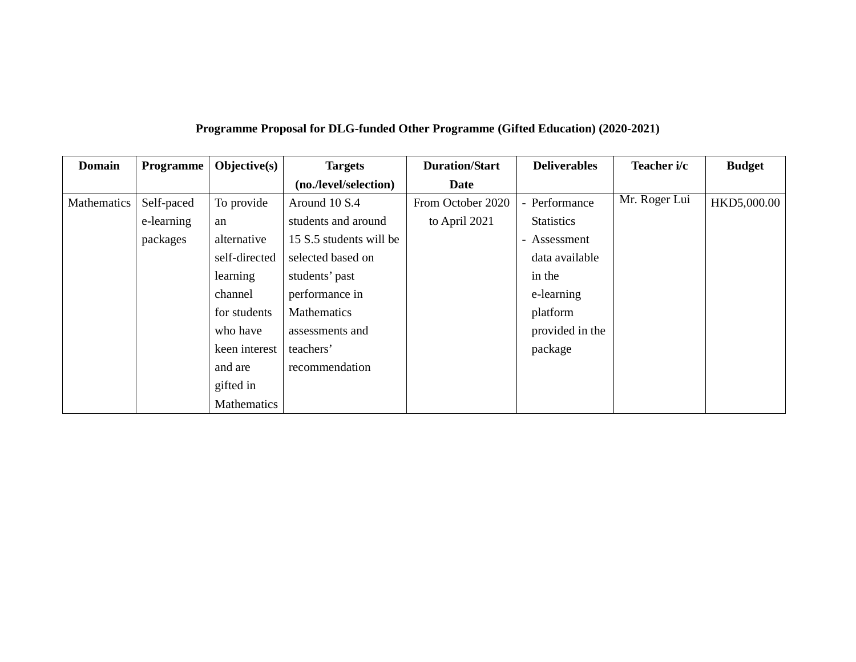| Programme Proposal for DLG-funded Other Programme (Gifted Education) (2020-2021) |  |  |  |
|----------------------------------------------------------------------------------|--|--|--|
|----------------------------------------------------------------------------------|--|--|--|

| <b>Domain</b>      | <b>Programme</b> | $Objective(s)$ | <b>Targets</b>          | <b>Duration/Start</b> | <b>Deliverables</b>          | Teacher i/c   | <b>Budget</b> |
|--------------------|------------------|----------------|-------------------------|-----------------------|------------------------------|---------------|---------------|
|                    |                  |                | (no./level/selection)   | <b>Date</b>           |                              |               |               |
| <b>Mathematics</b> | Self-paced       | To provide     | Around 10 S.4           | From October 2020     | - Performance                | Mr. Roger Lui | HKD5,000.00   |
|                    | e-learning       | an             | students and around     | to April 2021         | <b>Statistics</b>            |               |               |
|                    | packages         | alternative    | 15 S.5 students will be |                       | Assessment<br>$\blacksquare$ |               |               |
|                    |                  | self-directed  | selected based on       |                       | data available               |               |               |
|                    |                  | learning       | students' past          |                       | in the                       |               |               |
|                    |                  | channel        | performance in          |                       | e-learning                   |               |               |
|                    |                  | for students   | Mathematics             |                       | platform                     |               |               |
|                    |                  | who have       | assessments and         |                       | provided in the              |               |               |
|                    |                  | keen interest  | teachers'               |                       | package                      |               |               |
|                    |                  | and are        | recommendation          |                       |                              |               |               |
|                    |                  | gifted in      |                         |                       |                              |               |               |
|                    |                  | Mathematics    |                         |                       |                              |               |               |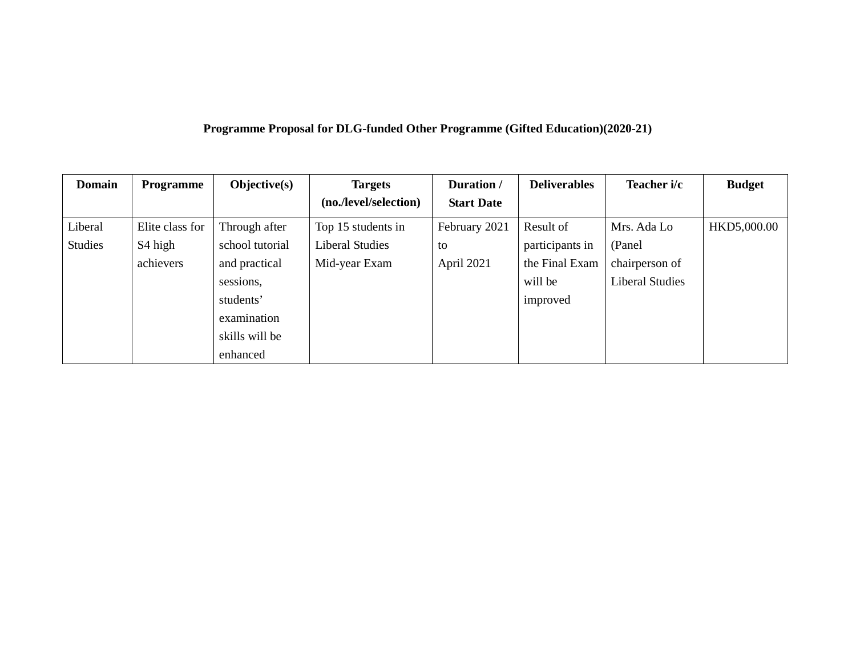|  |  | Programme Proposal for DLG-funded Other Programme (Gifted Education)(2020-21) |  |
|--|--|-------------------------------------------------------------------------------|--|
|  |  |                                                                               |  |

| <b>Domain</b>  | <b>Programme</b>    | Objective(s)    | <b>Targets</b>         | Duration /        | <b>Deliverables</b> | Teacher i/c            | <b>Budget</b> |
|----------------|---------------------|-----------------|------------------------|-------------------|---------------------|------------------------|---------------|
|                |                     |                 | (no./level/selection)  | <b>Start Date</b> |                     |                        |               |
| Liberal        | Elite class for     | Through after   | Top 15 students in     | February 2021     | Result of           | Mrs. Ada Lo            | HKD5,000.00   |
| <b>Studies</b> | S <sub>4</sub> high | school tutorial | <b>Liberal Studies</b> | to                | participants in     | (Panel)                |               |
|                | achievers           | and practical   | Mid-year Exam          | April 2021        | the Final Exam      | chairperson of         |               |
|                |                     | sessions,       |                        |                   | will be             | <b>Liberal Studies</b> |               |
|                |                     | students'       |                        |                   | improved            |                        |               |
|                |                     | examination     |                        |                   |                     |                        |               |
|                |                     | skills will be  |                        |                   |                     |                        |               |
|                |                     | enhanced        |                        |                   |                     |                        |               |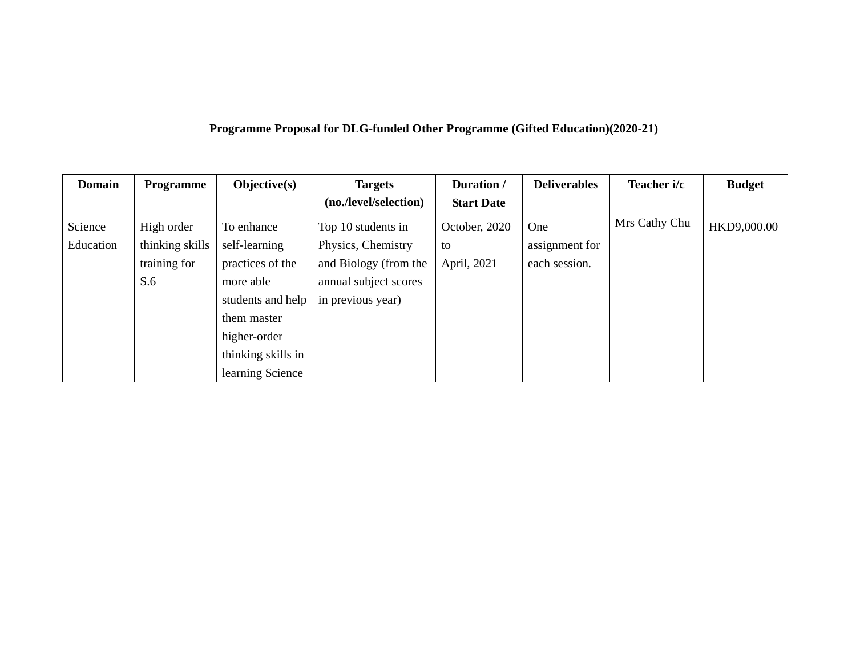## **Programme Proposal for DLG-funded Other Programme (Gifted Education)(2020-21)**

| <b>Domain</b> | <b>Programme</b> | Objective(s)       | <b>Targets</b>        | Duration /        | <b>Deliverables</b> | Teacher i/c                       | <b>Budget</b> |
|---------------|------------------|--------------------|-----------------------|-------------------|---------------------|-----------------------------------|---------------|
|               |                  |                    | (no./level/selection) | <b>Start Date</b> |                     |                                   |               |
| Science       | High order       | To enhance         | Top 10 students in    | October, 2020     | One                 | $\overline{\text{Mrs}}$ Cathy Chu | HKD9,000.00   |
| Education     | thinking skills  | self-learning      | Physics, Chemistry    | to                | assignment for      |                                   |               |
|               | training for     | practices of the   | and Biology (from the | April, 2021       | each session.       |                                   |               |
|               | S.6              | more able          | annual subject scores |                   |                     |                                   |               |
|               |                  | students and help  | in previous year)     |                   |                     |                                   |               |
|               |                  | them master        |                       |                   |                     |                                   |               |
|               |                  | higher-order       |                       |                   |                     |                                   |               |
|               |                  | thinking skills in |                       |                   |                     |                                   |               |
|               |                  | learning Science   |                       |                   |                     |                                   |               |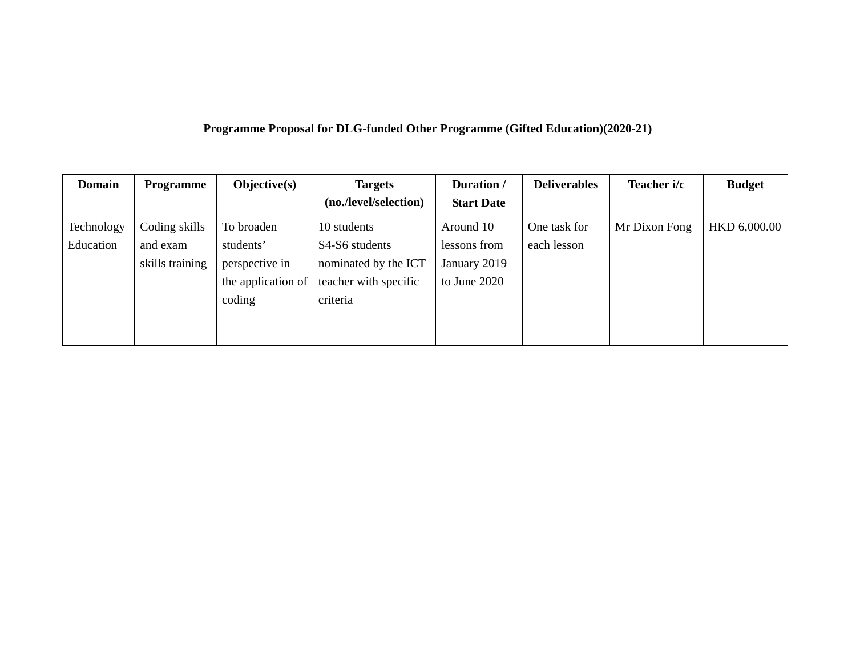## **Programme Proposal for DLG-funded Other Programme (Gifted Education)(2020-21)**

| <b>Domain</b> | <b>Programme</b> | $Objective(s)$             | <b>Targets</b>        | Duration /        | <b>Deliverables</b> | Teacher i/c   | <b>Budget</b> |
|---------------|------------------|----------------------------|-----------------------|-------------------|---------------------|---------------|---------------|
|               |                  |                            | (no./level/selection) | <b>Start Date</b> |                     |               |               |
| Technology    | Coding skills    | To broaden                 | 10 students           | Around 10         | One task for        | Mr Dixon Fong | HKD 6,000.00  |
| Education     | and exam         | students'                  | S4-S6 students        | lessons from      | each lesson         |               |               |
|               | skills training  | perspective in             | nominated by the ICT  | January 2019      |                     |               |               |
|               |                  | the application of $\vert$ | teacher with specific | to June 2020      |                     |               |               |
|               |                  | coding                     | criteria              |                   |                     |               |               |
|               |                  |                            |                       |                   |                     |               |               |
|               |                  |                            |                       |                   |                     |               |               |